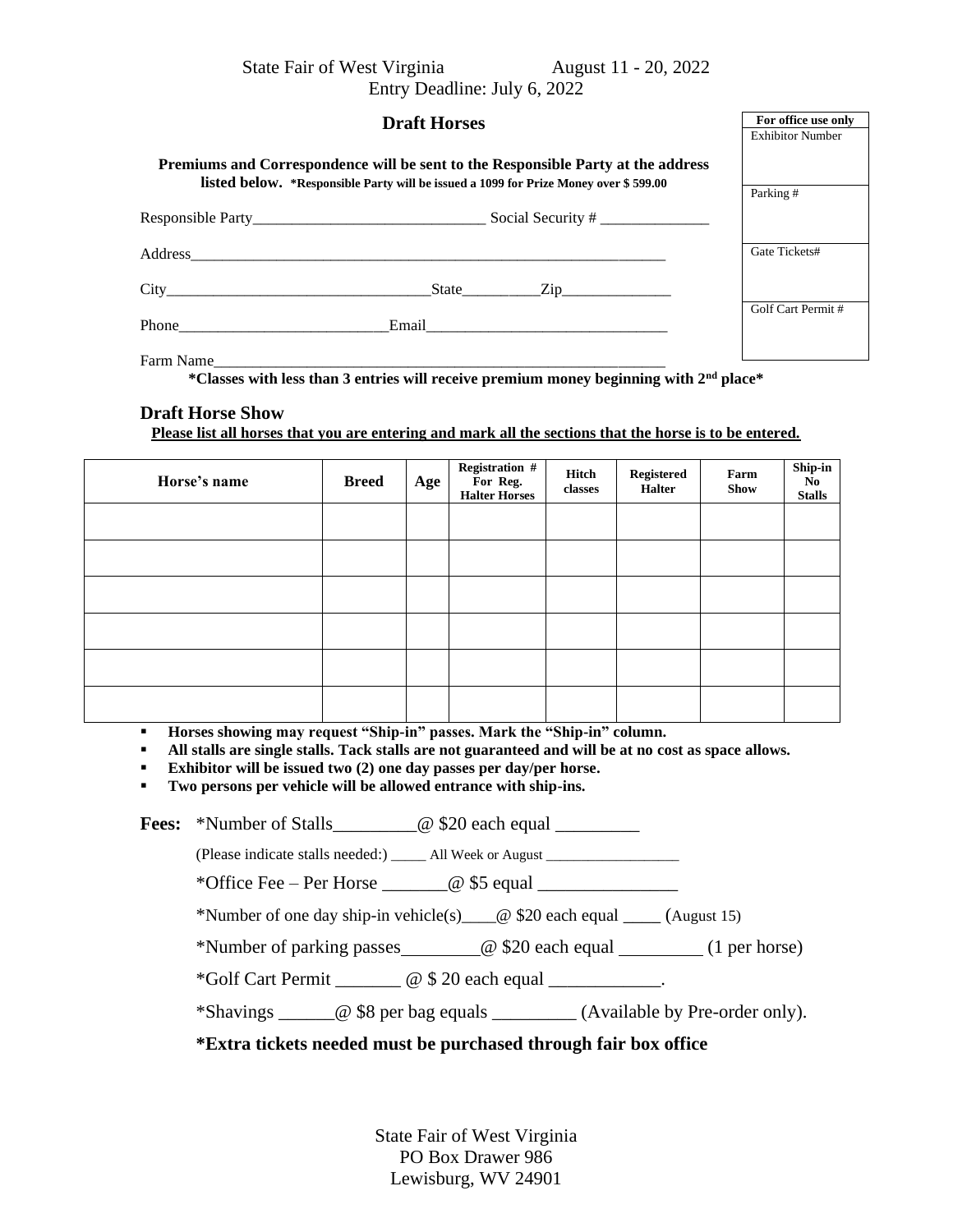State Fair of West Virginia August 11 - 20, 2022

Entry Deadline: July 6, 2022

| <b>Draft Horses</b>                                                                                             | For office use only<br><b>Exhibitor Number</b>                                       |                   |  |
|-----------------------------------------------------------------------------------------------------------------|--------------------------------------------------------------------------------------|-------------------|--|
| Premiums and Correspondence will be sent to the Responsible Party at the address                                |                                                                                      |                   |  |
|                                                                                                                 | listed below. *Responsible Party will be issued a 1099 for Prize Money over \$599.00 |                   |  |
|                                                                                                                 |                                                                                      |                   |  |
|                                                                                                                 |                                                                                      | Gate Tickets#     |  |
| City State Zip                                                                                                  |                                                                                      |                   |  |
| $Phone$                                                                                                         |                                                                                      | Golf Cart Permit# |  |
| Farm Name<br>*Classes with less than 3 entries will receive premium money beginning with 2 <sup>nd</sup> place* |                                                                                      |                   |  |

### **Draft Horse Show**

**Please list all horses that you are entering and mark all the sections that the horse is to be entered.**

| Horse's name | <b>Breed</b> | Age | Registration #<br>For Reg.<br>Halter Horses | Hitch<br>classes | Registered<br><b>Halter</b> | Farm<br><b>Show</b> | Ship-in<br>$\overline{N}$ <sup>o</sup><br><b>Stalls</b> |
|--------------|--------------|-----|---------------------------------------------|------------------|-----------------------------|---------------------|---------------------------------------------------------|
|              |              |     |                                             |                  |                             |                     |                                                         |
|              |              |     |                                             |                  |                             |                     |                                                         |
|              |              |     |                                             |                  |                             |                     |                                                         |
|              |              |     |                                             |                  |                             |                     |                                                         |
|              |              |     |                                             |                  |                             |                     |                                                         |
|              |              |     |                                             |                  |                             |                     |                                                         |

▪ **Horses showing may request "Ship-in" passes. Mark the "Ship-in" column.**

▪ **All stalls are single stalls. Tack stalls are not guaranteed and will be at no cost as space allows.**

▪ **Exhibitor will be issued two (2) one day passes per day/per horse.**

▪ **Two persons per vehicle will be allowed entrance with ship-ins.**

**Fees:** \*Number of Stalls  $\omega$  \$20 each equal

(Please indicate stalls needed:) \_\_\_\_\_\_\_ All Week or August \_\_\_\_\_\_\_\_\_\_\_\_\_\_\_\_\_\_\_\_\_

\*Office Fee – Per Horse  $\qquad \qquad \textcircled{g}$  \$5 equal

\*Number of one day ship-in vehicle(s)\_\_\_\_@ \$20 each equal \_\_\_\_ (August 15)

\*Number of parking passes @ \$20 each equal (1 per horse)

\*Golf Cart Permit \_\_\_\_\_\_\_ @ \$ 20 each equal \_\_\_\_\_\_\_\_\_\_\_\_.

\*Shavings \_\_\_\_\_\_@ \$8 per bag equals \_\_\_\_\_\_\_\_\_ (Available by Pre-order only).

#### **\*Extra tickets needed must be purchased through fair box office**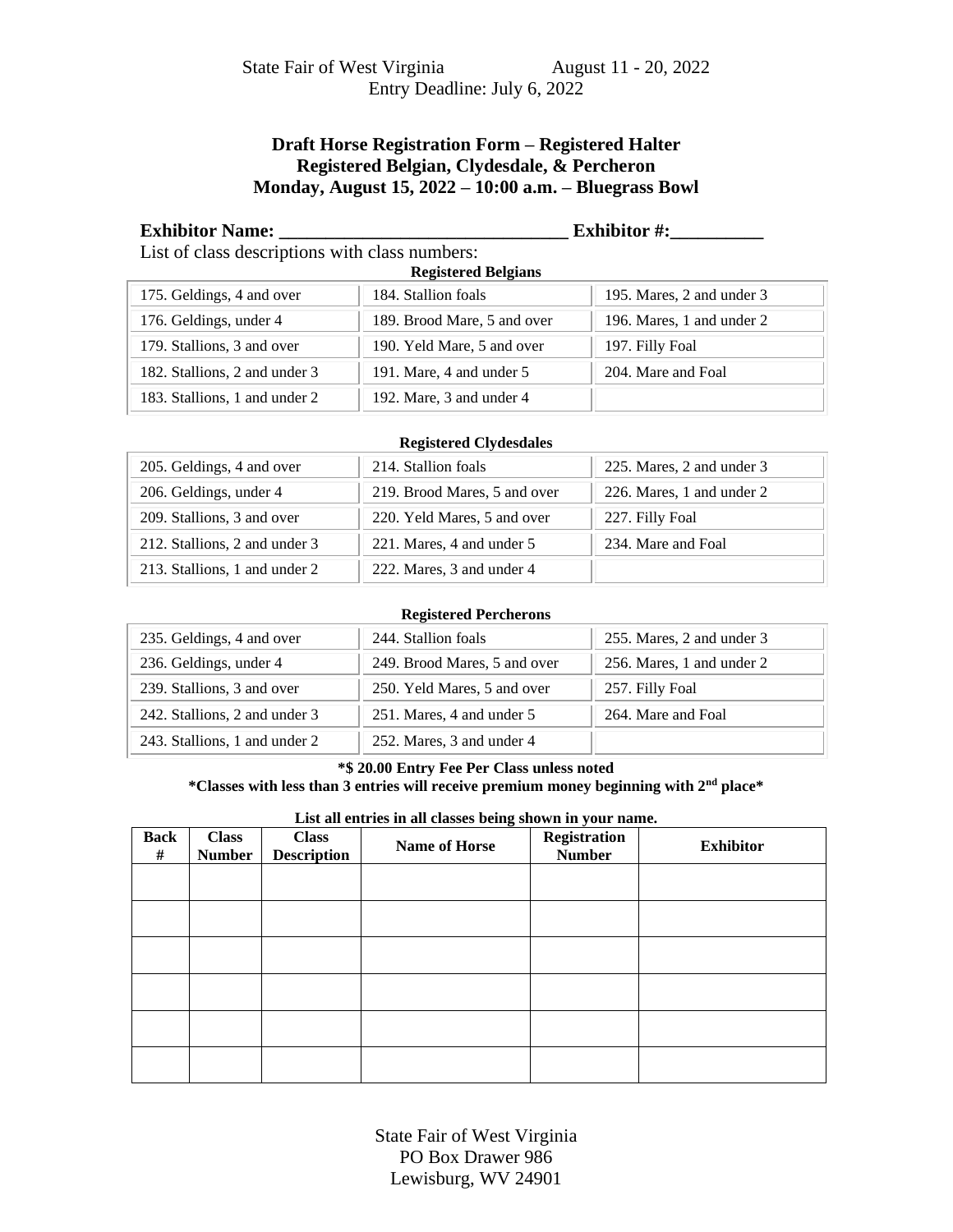# **Draft Horse Registration Form – Registered Halter Registered Belgian, Clydesdale, & Percheron Monday, August 15, 2022 – 10:00 a.m. – Bluegrass Bowl**

**Exhibitor Name: \_\_\_\_\_\_\_\_\_\_\_\_\_\_\_\_\_\_\_\_\_\_\_\_\_\_\_\_\_\_\_ Exhibitor #:\_\_\_\_\_\_\_\_\_\_**

List of class descriptions with class numbers: **Registered Belgians**

| Registered Belgians           |                             |                           |  |  |  |
|-------------------------------|-----------------------------|---------------------------|--|--|--|
| 175. Geldings, 4 and over     | 184. Stallion foals         | 195. Mares, 2 and under 3 |  |  |  |
| 176. Geldings, under 4        | 189. Brood Mare, 5 and over | 196. Mares, 1 and under 2 |  |  |  |
| 179. Stallions, 3 and over    | 190. Yeld Mare, 5 and over  | 197. Filly Foal           |  |  |  |
| 182. Stallions, 2 and under 3 | 191. Mare, 4 and under 5    | 204. Mare and Foal        |  |  |  |
| 183. Stallions, 1 and under 2 | 192. Mare, 3 and under 4    |                           |  |  |  |

#### **Registered Clydesdales**

| 205. Geldings, 4 and over     | 214. Stallion foals          | 225. Mares, 2 and under 3 |
|-------------------------------|------------------------------|---------------------------|
| 206. Geldings, under 4        | 219. Brood Mares, 5 and over | 226. Mares, 1 and under 2 |
| 209. Stallions, 3 and over    | 220. Yeld Mares, 5 and over  | 227. Filly Foal           |
| 212. Stallions, 2 and under 3 | 221. Mares, 4 and under 5    | 234. Mare and Foal        |
| 213. Stallions, 1 and under 2 | 222. Mares, 3 and under 4    |                           |

#### **Registered Percherons**

| 235. Geldings, 4 and over     | 244. Stallion foals          | 255. Mares, 2 and under 3 |
|-------------------------------|------------------------------|---------------------------|
| 236. Geldings, under 4        | 249. Brood Mares, 5 and over | 256. Mares, 1 and under 2 |
| 239. Stallions, 3 and over    | 250. Yeld Mares, 5 and over  | 257. Filly Foal           |
| 242. Stallions, 2 and under 3 | 251. Mares, 4 and under 5    | 264. Mare and Foal        |
| 243. Stallions, 1 and under 2 | 252. Mares, 3 and under 4    |                           |

#### **\*\$ 20.00 Entry Fee Per Class unless noted**

## **\*Classes with less than 3 entries will receive premium money beginning with 2nd place\***

#### **List all entries in all classes being shown in your name.**

| <b>Back</b><br># | <b>Class</b><br><b>Number</b> | <b>Class</b><br><b>Description</b> | <b>Name of Horse</b> | Registration<br><b>Number</b> | <b>Exhibitor</b> |
|------------------|-------------------------------|------------------------------------|----------------------|-------------------------------|------------------|
|                  |                               |                                    |                      |                               |                  |
|                  |                               |                                    |                      |                               |                  |
|                  |                               |                                    |                      |                               |                  |
|                  |                               |                                    |                      |                               |                  |
|                  |                               |                                    |                      |                               |                  |
|                  |                               |                                    |                      |                               |                  |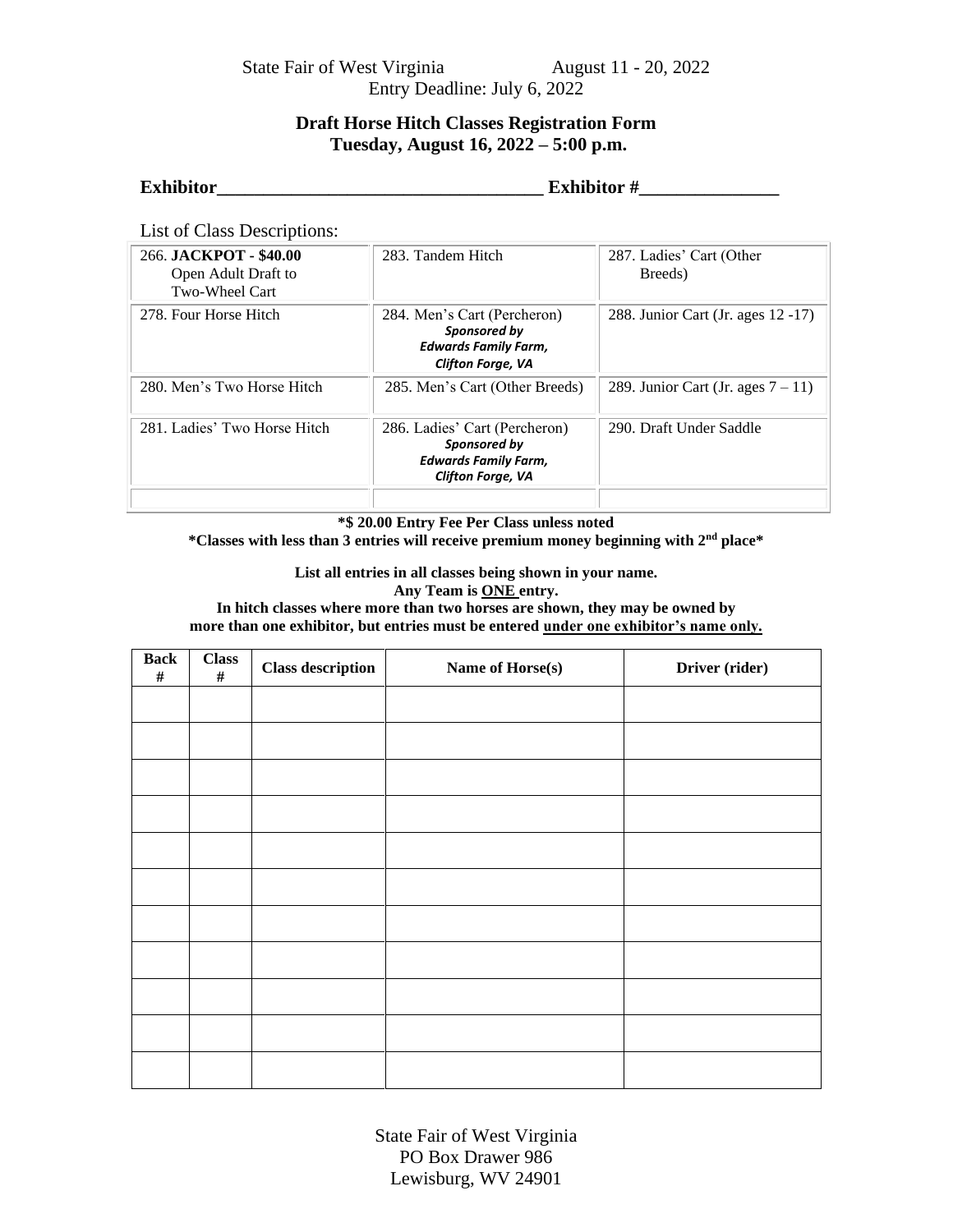State Fair of West Virginia August 11 - 20, 2022 Entry Deadline: July 6, 2022

## **Draft Horse Hitch Classes Registration Form Tuesday, August 16, 2022 – 5:00 p.m.**

| Exhibitor |  |  |
|-----------|--|--|
|           |  |  |

**Exhibitor #\_\_\_\_\_\_\_\_\_\_\_\_\_\_\_\_\_** 

List of Class Descriptions:

| 266. JACKPOT - \$40.00<br>Open Adult Draft to<br>Two-Wheel Cart | 283. Tandem Hitch                                                                                      | 287. Ladies' Cart (Other<br>Breeds) |
|-----------------------------------------------------------------|--------------------------------------------------------------------------------------------------------|-------------------------------------|
| 278. Four Horse Hitch                                           | 284. Men's Cart (Percheron)<br>Sponsored by<br><b>Edwards Family Farm,</b><br><b>Clifton Forge, VA</b> | 288. Junior Cart (Jr. ages 12 -17)  |
| 280. Men's Two Horse Hitch                                      | 285. Men's Cart (Other Breeds)                                                                         | 289. Junior Cart (Jr. ages $7-11$ ) |
| 281. Ladies' Two Horse Hitch                                    | 286. Ladies' Cart (Percheron)<br>Sponsored by<br><b>Edwards Family Farm,</b><br>Clifton Forge, VA      | 290. Draft Under Saddle             |
|                                                                 |                                                                                                        |                                     |

**\*\$ 20.00 Entry Fee Per Class unless noted**

**\*Classes with less than 3 entries will receive premium money beginning with 2nd place\***

**List all entries in all classes being shown in your name. Any Team is ONE entry.**

**In hitch classes where more than two horses are shown, they may be owned by more than one exhibitor, but entries must be entered under one exhibitor's name only.**

| <b>Back</b><br>$\#$ | <b>Class</b><br>$\#$ | <b>Class description</b> | Name of Horse(s) | Driver (rider) |
|---------------------|----------------------|--------------------------|------------------|----------------|
|                     |                      |                          |                  |                |
|                     |                      |                          |                  |                |
|                     |                      |                          |                  |                |
|                     |                      |                          |                  |                |
|                     |                      |                          |                  |                |
|                     |                      |                          |                  |                |
|                     |                      |                          |                  |                |
|                     |                      |                          |                  |                |
|                     |                      |                          |                  |                |
|                     |                      |                          |                  |                |
|                     |                      |                          |                  |                |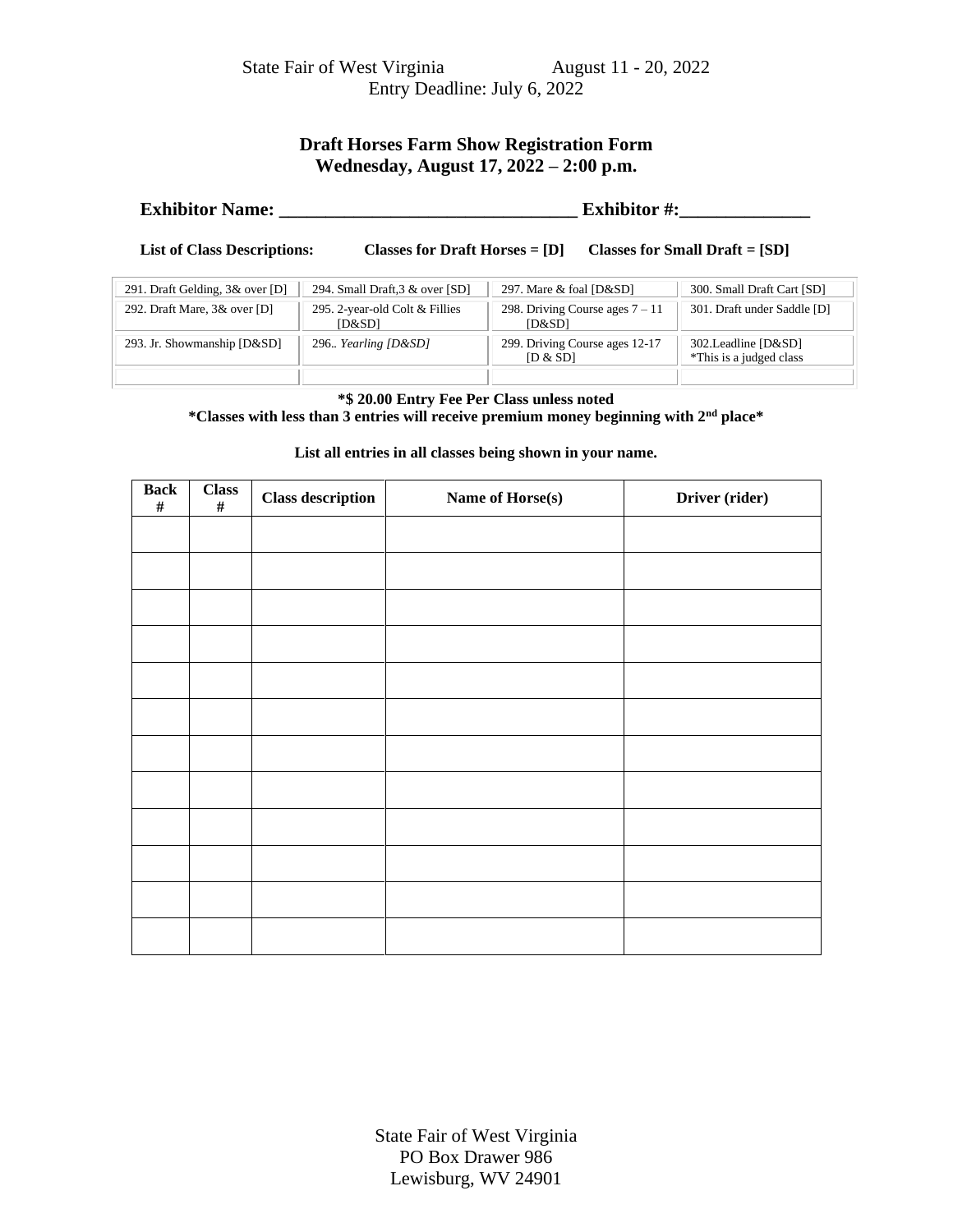State Fair of West Virginia August 11 - 20, 2022 Entry Deadline: July 6, 2022

## **Draft Horses Farm Show Registration Form Wednesday, August 17, 2022 – 2:00 p.m.**

| <b>Exhibitor Name:</b> | <b>Exhibitor #:</b> |
|------------------------|---------------------|
|------------------------|---------------------|

**List of Class Descriptions: Classes for Draft Horses = [D] Classes for Small Draft = [SD]**

| 291. Draft Gelding, 3& over [D] | 294. Small Draft, 3 & over [SD]          | 297. Mare & foal [D&SD]                     | 300. Small Draft Cart [SD]                      |
|---------------------------------|------------------------------------------|---------------------------------------------|-------------------------------------------------|
| 292. Draft Mare, 3& over [D]    | 295. 2-year-old Colt & Fillies<br>[D&SD] | 298. Driving Course ages $7 - 11$<br>[D&SD] | 301. Draft under Saddle [D]                     |
| 293. Jr. Showmanship [D&SD]     | 296 Yearling $[D&SD]$                    | 299. Driving Course ages 12-17<br>[D & SD]  | 302. Leadline [D&SD]<br>*This is a judged class |
|                                 |                                          |                                             |                                                 |

#### **\*\$ 20.00 Entry Fee Per Class unless noted**

**\*Classes with less than 3 entries will receive premium money beginning with 2nd place\***

**List all entries in all classes being shown in your name.**

| <b>Back</b><br>$\#$ | <b>Class</b><br>$\#$ | <b>Class description</b> | Name of Horse(s) | Driver (rider) |
|---------------------|----------------------|--------------------------|------------------|----------------|
|                     |                      |                          |                  |                |
|                     |                      |                          |                  |                |
|                     |                      |                          |                  |                |
|                     |                      |                          |                  |                |
|                     |                      |                          |                  |                |
|                     |                      |                          |                  |                |
|                     |                      |                          |                  |                |
|                     |                      |                          |                  |                |
|                     |                      |                          |                  |                |
|                     |                      |                          |                  |                |
|                     |                      |                          |                  |                |
|                     |                      |                          |                  |                |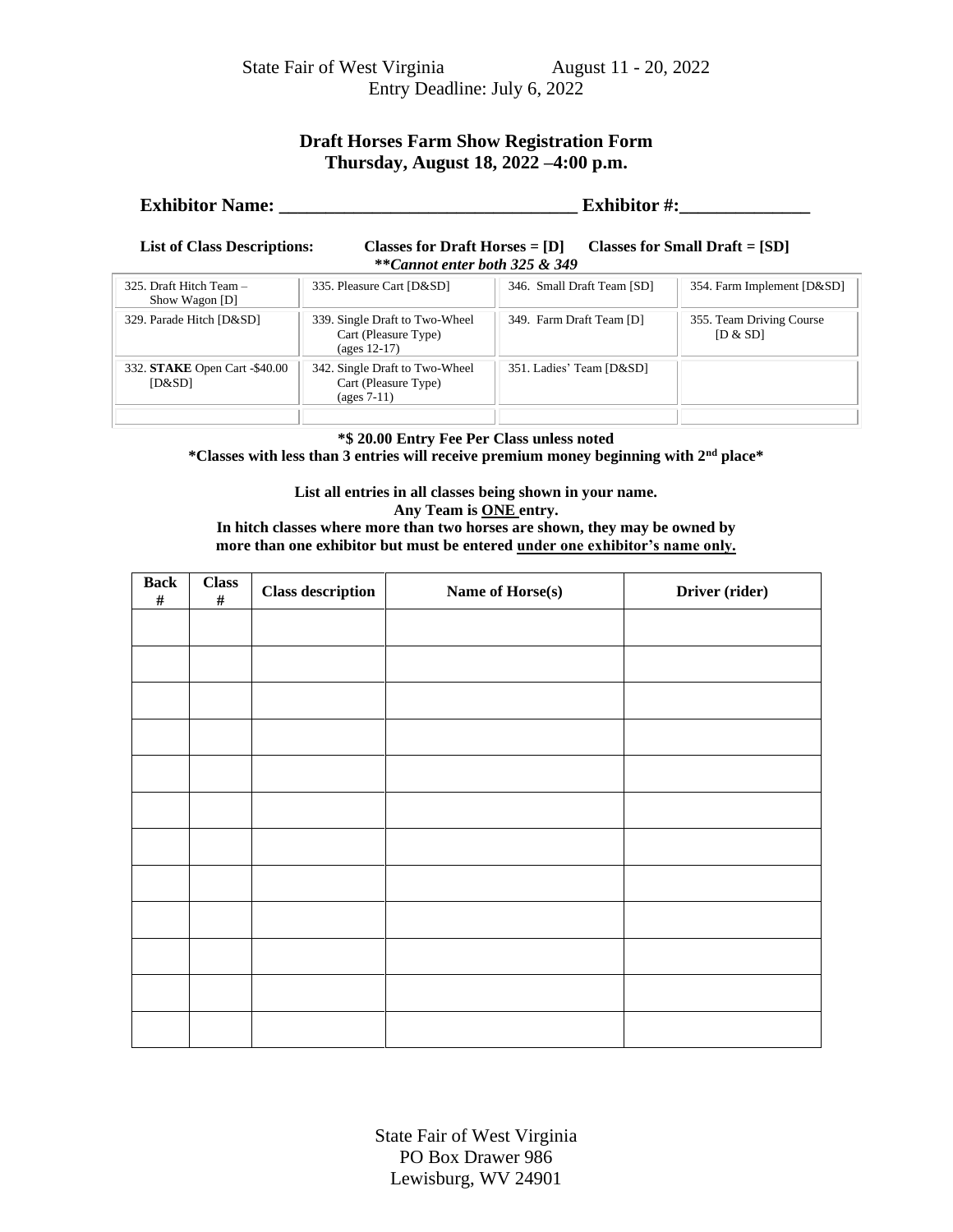# **Draft Horses Farm Show Registration Form Thursday, August 18, 2022 –4:00 p.m.**

# **Exhibitor Name: \_\_\_\_\_\_\_\_\_\_\_\_\_\_\_\_\_\_\_\_\_\_\_\_\_\_\_\_\_\_\_\_ Exhibitor #:\_\_\_\_\_\_\_\_\_\_\_\_\_\_**

**List of Class Descriptions: Classes for Draft Horses = [D] Classes for Small Draft = [SD] \*\****Cannot enter both 325 & 349*

| 325. Draft Hitch Team $-$<br>Show Wagon [D] | 335. Pleasure Cart [D&SD]                                                | 346. Small Draft Team [SD] | 354. Farm Implement [D&SD]           |
|---------------------------------------------|--------------------------------------------------------------------------|----------------------------|--------------------------------------|
| 329. Parade Hitch [D&SD]                    | 339. Single Draft to Two-Wheel<br>Cart (Pleasure Type)<br>$(ages 12-17)$ | 349. Farm Draft Team [D]   | 355. Team Driving Course<br>[D & SD] |
| 332. STAKE Open Cart -\$40.00<br>[D&SD]     | 342. Single Draft to Two-Wheel<br>Cart (Pleasure Type)<br>$(ages 7-11)$  | 351. Ladies' Team [D&SD]   |                                      |

**\*\$ 20.00 Entry Fee Per Class unless noted**

**\*Classes with less than 3 entries will receive premium money beginning with 2nd place\***

**List all entries in all classes being shown in your name. Any Team is ONE entry. In hitch classes where more than two horses are shown, they may be owned by** 

**more than one exhibitor but must be entered under one exhibitor's name only.**

| <b>Back</b><br>$\#$ | <b>Class</b><br>$\#$ | <b>Class description</b> | Name of Horse(s) | Driver (rider) |
|---------------------|----------------------|--------------------------|------------------|----------------|
|                     |                      |                          |                  |                |
|                     |                      |                          |                  |                |
|                     |                      |                          |                  |                |
|                     |                      |                          |                  |                |
|                     |                      |                          |                  |                |
|                     |                      |                          |                  |                |
|                     |                      |                          |                  |                |
|                     |                      |                          |                  |                |
|                     |                      |                          |                  |                |
|                     |                      |                          |                  |                |
|                     |                      |                          |                  |                |
|                     |                      |                          |                  |                |